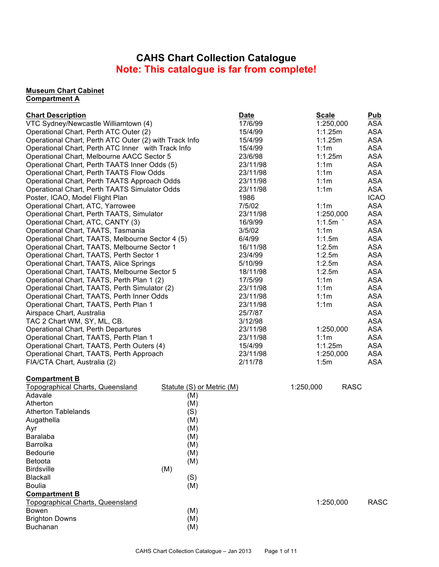# **CAHS Chart Collection Catalogue Note: This catalogue is far from complete!**

#### **Museum Chart Cabinet Compartment A**

| <b>Chart Description</b>                               | <b>Date</b> | <b>Scale</b> | Pub         |
|--------------------------------------------------------|-------------|--------------|-------------|
| VTC Sydney/Newcastle Williamtown (4)                   | 17/6/99     | 1:250,000    | ASA         |
| Operational Chart, Perth ATC Outer (2)                 | 15/4/99     | 1:1.25m      | <b>ASA</b>  |
| Operational Chart, Perth ATC Outer (2) with Track Info | 15/4/99     | 1:1.25m      | <b>ASA</b>  |
| Operational Chart, Perth ATC Inner with Track Info     | 15/4/99     | 1:1m         | <b>ASA</b>  |
| Operational Chart, Melbourne AACC Sector 5             | 23/6/98     | 1:1.25m      | <b>ASA</b>  |
| Operational Chart, Perth TAATS Inner Odds (5)          | 23/11/98    | 1:1m         | <b>ASA</b>  |
| Operational Chart, Perth TAATS Flow Odds               | 23/11/98    | 1:1m         | <b>ASA</b>  |
| Operational Chart, Perth TAATS Approach Odds           | 23/11/98    | 1:1m         | ASA         |
| Operational Chart, Perth TAATS Simulator Odds          | 23/11/98    | 1:1m         | <b>ASA</b>  |
| Poster, ICAO, Model Flight Plan                        | 1986        |              | <b>ICAO</b> |
| Operational Chart, ATC, Yarrowee                       | 7/5/02      | 1:1m         | <b>ASA</b>  |
| Operational Chart, Perth TAATS, Simulator              | 23/11/98    | 1:250,000    | <b>ASA</b>  |
| Operational Chart, ATC, CANTY (3)                      | 16/9/99     | 1:1.5m       | <b>ASA</b>  |
| Operational Chart, TAATS, Tasmania                     | 3/5/02      | 1:1m         | <b>ASA</b>  |
| Operational Chart, TAATS, Melbourne Sector 4 (5)       | 6/4/99      | 1:1.5m       | <b>ASA</b>  |
| Operational Chart, TAATS, Melbourne Sector 1           | 16/11/98    | 1:2.5m       | <b>ASA</b>  |
| Operational Chart, TAATS, Perth Sector 1               | 23/4/99     | 1:2.5m       | <b>ASA</b>  |
| Operational Chart, TAATS, Alice Springs                | 5/10/99     | 1:2.5m       | <b>ASA</b>  |
| Operational Chart, TAATS, Melbourne Sector 5           | 18/11/98    | 1:2.5m       | <b>ASA</b>  |
| Operational Chart, TAATS, Perth Plan 1 (2)             | 17/5/99     | 1:1m         | <b>ASA</b>  |
| Operational Chart, TAATS, Perth Simulator (2)          | 23/11/98    | 1:1m         | <b>ASA</b>  |
| Operational Chart, TAATS, Perth Inner Odds             | 23/11/98    | 1:1m         | <b>ASA</b>  |
| Operational Chart, TAATS, Perth Plan 1                 | 23/11/98    | 1:1m         | <b>ASA</b>  |
| Airspace Chart, Australia                              | 25/7/87     |              | <b>ASA</b>  |
| TAC 2 Chart WM, SY, ML, CB.                            | 3/12/98     |              | <b>ASA</b>  |
| Operational Chart, Perth Departures                    | 23/11/98    | 1:250,000    | <b>ASA</b>  |
| Operational Chart, TAATS, Perth Plan 1                 | 23/11/98    | 1:1m         | <b>ASA</b>  |
| Operational Chart, TAATS, Perth Outers (4)             | 15/4/99     | 1:1.25m      | <b>ASA</b>  |
| Operational Chart, TAATS, Perth Approach               | 23/11/98    | 1:250,000    | <b>ASA</b>  |
| FIA/CTA Chart, Australia (2)                           | 2/11/78     | 1:5m         | <b>ASA</b>  |
| <b>Compartment B</b>                                   |             |              |             |

|     |     | 1:250,000                 | <b>RASC</b> |             |
|-----|-----|---------------------------|-------------|-------------|
|     | (M) |                           |             |             |
|     | (M) |                           |             |             |
|     | (S) |                           |             |             |
|     | (M) |                           |             |             |
|     | (M) |                           |             |             |
|     | (M) |                           |             |             |
|     | (M) |                           |             |             |
|     | (M) |                           |             |             |
|     | (M) |                           |             |             |
| (M) |     |                           |             |             |
|     | (S) |                           |             |             |
|     | (M) |                           |             |             |
|     |     |                           |             |             |
|     |     |                           |             | <b>RASC</b> |
|     | (M) |                           |             |             |
|     | (M) |                           |             |             |
|     | (M) |                           |             |             |
|     |     | Statute (S) or Metric (M) |             | 1:250,000   |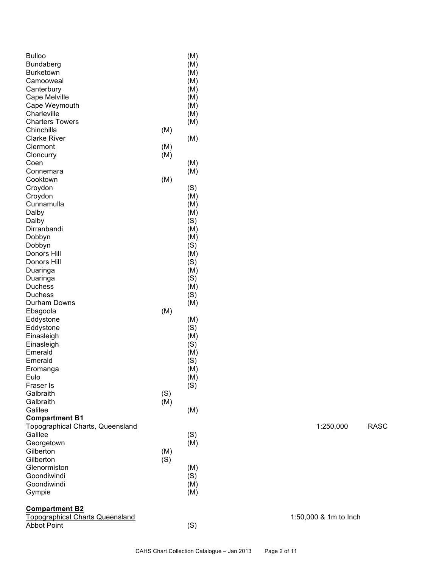| <b>Bulloo</b>                           |     | (M)        |  |                       |             |
|-----------------------------------------|-----|------------|--|-----------------------|-------------|
| Bundaberg                               |     | (M)        |  |                       |             |
| Burketown                               |     | (M)        |  |                       |             |
| Camooweal                               |     | (M)        |  |                       |             |
| Canterbury                              |     | (M)        |  |                       |             |
| Cape Melville                           |     | (M)        |  |                       |             |
| Cape Weymouth                           |     | (M)        |  |                       |             |
| Charleville                             |     | (M)        |  |                       |             |
| <b>Charters Towers</b>                  |     | (M)        |  |                       |             |
| Chinchilla                              | (M) |            |  |                       |             |
| <b>Clarke River</b>                     |     | (M)        |  |                       |             |
| Clermont                                | (M) |            |  |                       |             |
| Cloncurry                               | (M) |            |  |                       |             |
| Coen                                    |     | (M)        |  |                       |             |
| Connemara                               |     | (M)        |  |                       |             |
| Cooktown                                | (M) |            |  |                       |             |
| Croydon                                 |     | (S)        |  |                       |             |
| Croydon                                 |     | (M)        |  |                       |             |
| Cunnamulla                              |     | (M)        |  |                       |             |
| Dalby                                   |     | (M)        |  |                       |             |
| Dalby<br>Dirranbandi                    |     | (S)        |  |                       |             |
| Dobbyn                                  |     | (M)        |  |                       |             |
| Dobbyn                                  |     | (M)<br>(S) |  |                       |             |
| Donors Hill                             |     | (M)        |  |                       |             |
| Donors Hill                             |     | (S)        |  |                       |             |
| Duaringa                                |     | (M)        |  |                       |             |
| Duaringa                                |     | (S)        |  |                       |             |
| <b>Duchess</b>                          |     | (M)        |  |                       |             |
| <b>Duchess</b>                          |     | (S)        |  |                       |             |
| Durham Downs                            |     | (M)        |  |                       |             |
| Ebagoola                                | (M) |            |  |                       |             |
| Eddystone                               |     | (M)        |  |                       |             |
| Eddystone                               |     | (S)        |  |                       |             |
| Einasleigh                              |     | (M)        |  |                       |             |
| Einasleigh                              |     | (S)        |  |                       |             |
| Emerald                                 |     | (M)        |  |                       |             |
| Emerald                                 |     | (S)        |  |                       |             |
| Eromanga                                |     | (M)        |  |                       |             |
| Eulo                                    |     | (M)        |  |                       |             |
| Fraser Is                               |     | (S)        |  |                       |             |
| Galbraith                               | (S) |            |  |                       |             |
| Galbraith                               | (M) |            |  |                       |             |
| Galilee                                 |     | (M)        |  |                       |             |
| <b>Compartment B1</b>                   |     |            |  |                       |             |
| <b>Topographical Charts, Queensland</b> |     |            |  | 1:250,000             | <b>RASC</b> |
| Galilee                                 |     | (S)        |  |                       |             |
| Georgetown                              |     | (M)        |  |                       |             |
| Gilberton                               | (M) |            |  |                       |             |
| Gilberton                               | (S) |            |  |                       |             |
| Glenormiston                            |     | (M)        |  |                       |             |
| Goondiwindi                             |     | (S)        |  |                       |             |
| Goondiwindi                             |     | (M)        |  |                       |             |
| Gympie                                  |     | (M)        |  |                       |             |
| <b>Compartment B2</b>                   |     |            |  |                       |             |
| <b>Topographical Charts Queensland</b>  |     |            |  | 1:50,000 & 1m to lnch |             |
| <b>Abbot Point</b>                      |     | (S)        |  |                       |             |
|                                         |     |            |  |                       |             |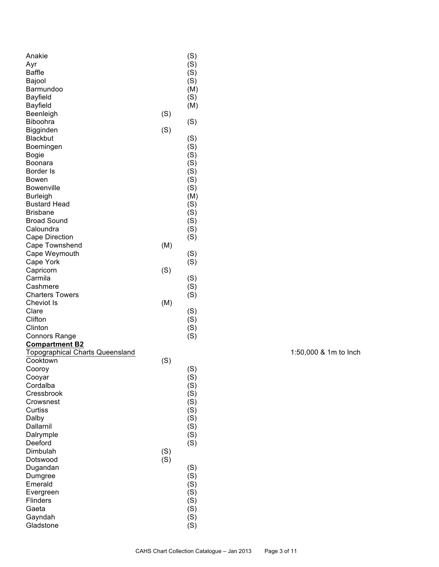| Anakie                                 |     | (S) |
|----------------------------------------|-----|-----|
| Ayr                                    |     | (S) |
| <b>Baffle</b>                          |     | (S) |
| Bajool                                 |     | (S) |
| Barmundoo                              |     | (M) |
| <b>Bayfield</b>                        |     | (S) |
| Bayfield                               |     | (M) |
| Beenleigh                              | (S) |     |
| <b>Biboohra</b>                        |     | (S) |
| Bigginden                              | (S) |     |
| <b>Blackbut</b>                        |     | (S) |
| Boemingen                              |     | (S) |
| <b>Bogie</b>                           |     | (S) |
| Boonara                                |     | (S) |
| Border Is                              |     | (S) |
| Bowen                                  |     | (S) |
| Bowenville                             |     | (S) |
| <b>Burleigh</b>                        |     | (M) |
| <b>Bustard Head</b>                    |     | (S) |
| <b>Brisbane</b>                        |     | (S) |
| <b>Broad Sound</b>                     |     | (S) |
| Caloundra                              |     | (S) |
| Cape Direction                         |     | (S) |
| Cape Townshend                         | (M) |     |
| Cape Weymouth                          |     | (S) |
| Cape York                              |     | (S) |
| Capricorn                              | (S) |     |
| Carmila                                |     | (S) |
| Cashmere                               |     | (S) |
| <b>Charters Towers</b>                 |     | (S) |
| <b>Cheviot Is</b>                      | (M) |     |
| Clare                                  |     | (S) |
| Clifton                                |     | (S) |
| Clinton                                |     | (S) |
| <b>Connors Range</b>                   |     | (S) |
| <b>Compartment B2</b>                  |     |     |
| <b>Topographical Charts Queensland</b> |     |     |
| Cooktown                               | (S) |     |
| Cooroy                                 |     | (S) |
| Cooyar                                 |     | (S) |
| Cordalba                               |     | (S) |
| Cressbrook                             |     | (S) |
| Crowsnest                              |     | (S) |
| Curtiss                                |     | (S) |
| Dalby                                  |     | (S) |
| Dallarnil                              |     | (S) |
| Dalrymple                              |     | (S) |
| Deeford                                |     | (S) |
| Dimbulah                               | (S) |     |
| Dotswood                               | (S) |     |
| Dugandan                               |     | (S) |
| Dumgree                                |     | (S) |
| Emerald                                |     | (S) |
| Evergreen                              |     | (S) |
| <b>Flinders</b>                        |     | (S) |
| Gaeta                                  |     | (S) |
| Gayndah                                |     | (S) |
| Gladstone                              |     | (S) |
|                                        |     |     |

1:50,000 & 1m to Inch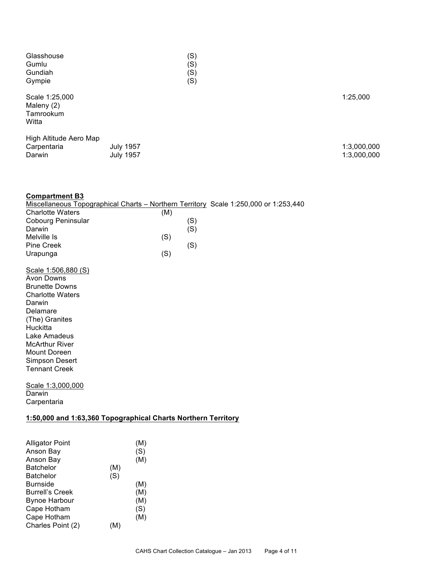| Glasshouse                                         |                                      | (S) |                            |
|----------------------------------------------------|--------------------------------------|-----|----------------------------|
| Gumlu                                              |                                      | (S) |                            |
| Gundiah                                            |                                      | (S) |                            |
| Gympie                                             |                                      | (S) |                            |
| Scale 1:25,000<br>Maleny (2)<br>Tamrookum<br>Witta |                                      |     | 1:25,000                   |
| High Altitude Aero Map<br>Carpentaria<br>Darwin    | <b>July 1957</b><br><b>July 1957</b> |     | 1:3,000,000<br>1:3,000,000 |

| <b>Compartment B3</b>                                                                |     |     |  |  |
|--------------------------------------------------------------------------------------|-----|-----|--|--|
| Miscellaneous Topographical Charts - Northern Territory Scale 1:250,000 or 1:253,440 |     |     |  |  |
| <b>Charlotte Waters</b>                                                              | (M) |     |  |  |
| <b>Cobourg Peninsular</b>                                                            |     | (S) |  |  |
| Darwin                                                                               |     | (S) |  |  |
| Melville Is                                                                          | (S) |     |  |  |
| Pine Creek                                                                           |     | (S) |  |  |
| Urapunga                                                                             | (S) |     |  |  |
| Scale 1:506,880 (S)                                                                  |     |     |  |  |
| Avon Downs                                                                           |     |     |  |  |
| <b>Brunette Downs</b>                                                                |     |     |  |  |
| <b>Charlotte Waters</b>                                                              |     |     |  |  |
| Darwin                                                                               |     |     |  |  |
| Delamare                                                                             |     |     |  |  |
| (The) Granites                                                                       |     |     |  |  |
| Huckitta                                                                             |     |     |  |  |
| Lake Amadeus                                                                         |     |     |  |  |
| <b>McArthur River</b>                                                                |     |     |  |  |
| Mount Doreen                                                                         |     |     |  |  |
| Simpson Desert                                                                       |     |     |  |  |
| <b>Tennant Creek</b>                                                                 |     |     |  |  |
| Scale 1:3,000,000                                                                    |     |     |  |  |
| Darwin                                                                               |     |     |  |  |
| Carpentaria                                                                          |     |     |  |  |
| 1:50,000 and 1:63,360 Topographical Charts Northern Territory                        |     |     |  |  |
|                                                                                      |     |     |  |  |
| <b>Alligator Point</b><br>(M)                                                        |     |     |  |  |
|                                                                                      |     |     |  |  |

| Alligator Point        |     | (M) |
|------------------------|-----|-----|
| Anson Bay              |     | (S) |
| Anson Bay              |     | (M) |
| <b>Batchelor</b>       | (M) |     |
| <b>Batchelor</b>       | (S) |     |
| <b>Burnside</b>        |     | (M) |
| <b>Burrell's Creek</b> |     | (M) |
| <b>Bynoe Harbour</b>   |     | (M) |
| Cape Hotham            |     | (S) |
| Cape Hotham            |     | (M) |
| Charles Point (2)      | (M) |     |
|                        |     |     |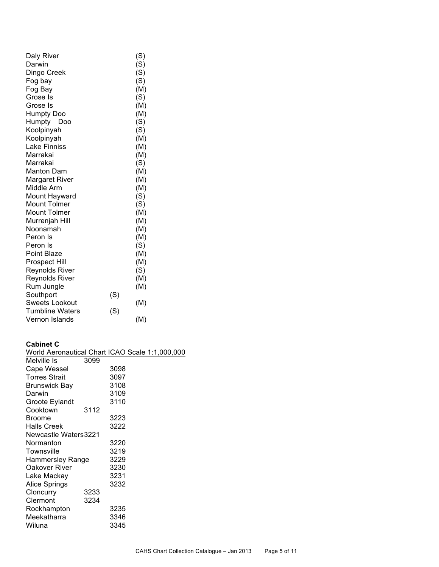|     | (S) |
|-----|-----|
|     | (S) |
|     | (S) |
|     | (S) |
|     | (M) |
|     | (S) |
|     | (M) |
|     | (M) |
|     | (S) |
|     | (S) |
|     | (M) |
|     | (M) |
|     | (M) |
|     | (S) |
|     | (M) |
|     | (M) |
|     | (M) |
|     | (S) |
|     | (S) |
|     | (M) |
|     | (M) |
|     | (M) |
|     | (M) |
|     | (S) |
|     | (M) |
|     | (M) |
|     | (S) |
|     | (M) |
|     | (M) |
| (S) |     |
|     | (M) |
| (S) |     |
|     | (M) |
|     |     |

# **Cabinet C**

| World Aeronautical Chart ICAO Scale 1:1,000,000 |      |      |  |  |
|-------------------------------------------------|------|------|--|--|
| Melville Is                                     | 3099 |      |  |  |
| Cape Wessel                                     |      | 3098 |  |  |
| <b>Torres Strait</b>                            |      | 3097 |  |  |
| <b>Brunswick Bay</b>                            |      | 3108 |  |  |
| Darwin                                          |      | 3109 |  |  |
| Groote Eylandt                                  |      | 3110 |  |  |
| Cooktown                                        | 3112 |      |  |  |
| <b>Broome</b>                                   |      | 3223 |  |  |
| <b>Halls Creek</b>                              |      | 3222 |  |  |
| <b>Newcastle Waters3221</b>                     |      |      |  |  |
| Normanton                                       |      | 3220 |  |  |
| Townsville                                      |      | 3219 |  |  |
| Hammersley Range                                |      | 3229 |  |  |
| Oakover River                                   |      | 3230 |  |  |
| Lake Mackay                                     |      | 3231 |  |  |
| Alice Springs                                   |      | 3232 |  |  |
| Cloncurry                                       | 3233 |      |  |  |
| Clermont                                        | 3234 |      |  |  |
| Rockhampton                                     |      | 3235 |  |  |
| Meekatharra                                     |      | 3346 |  |  |
| Wiluna                                          |      | 3345 |  |  |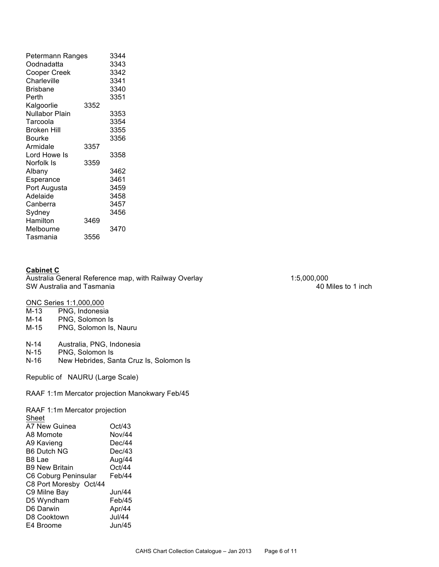| Petermann Ranges |      | 3344 |
|------------------|------|------|
| Oodnadatta       |      | 3343 |
| Cooper Creek     |      | 3342 |
| Charleville      |      | 3341 |
| <b>Brisbane</b>  |      | 3340 |
| Perth            |      | 3351 |
| Kalgoorlie       | 3352 |      |
| Nullabor Plain   |      | 3353 |
| Tarcoola         |      | 3354 |
| Broken Hill      |      | 3355 |
| Bourke           |      | 3356 |
| Armidale         | 3357 |      |
| Lord Howe Is     |      | 3358 |
| Norfolk Is       | 3359 |      |
| Albany           |      | 3462 |
| Esperance        |      | 3461 |
| Port Augusta     |      | 3459 |
| Adelaide         |      | 3458 |
| Canberra         |      | 3457 |
| Sydney           |      | 3456 |
| Hamilton         | 3469 |      |
| Melbourne        |      | 3470 |
| Tasmania         | 3556 |      |

#### **Cabinet C**

Australia General Reference map, with Railway Overlay 1:5,000,000 1:5,000,000 SW Australia and Tasmania 40 Miles to 1 inch

ONC Series 1:1,000,000<br>M-13 PNG, Indonesia

- M-13 PNG, Indonesia<br>M-14 PNG, Solomon Is
- PNG, Solomon Is
- M-15 PNG, Solomon Is, Nauru
- N-14 Australia, PNG, Indonesia<br>N-15 PNG, Solomon Is
- N-15 PNG, Solomon Is<br>N-16 New Hebrides, Sa
- New Hebrides, Santa Cruz Is, Solomon Is

Republic of NAURU (Large Scale)

RAAF 1:1m Mercator projection Manokwary Feb/45

RAAF 1:1m Mercator projection

| Sheet                  |               |
|------------------------|---------------|
| A7 New Guinea          | Oct/43        |
| A8 Momote              | Nov/44        |
| A9 Kavieng             | Dec/44        |
| <b>B6 Dutch NG</b>     | Dec/43        |
| B8 Lae                 | Aug/44        |
| <b>B9 New Britain</b>  | Oct/44        |
| C6 Coburg Peninsular   | Feb/44        |
| C8 Port Moresby Oct/44 |               |
| C9 Milne Bay           | Jun/44        |
| D5 Wyndham             | Feb/45        |
| D6 Darwin              | Apr/44        |
| D8 Cooktown            | <b>Jul/44</b> |
| E4 Broome              | Jun/45        |
|                        |               |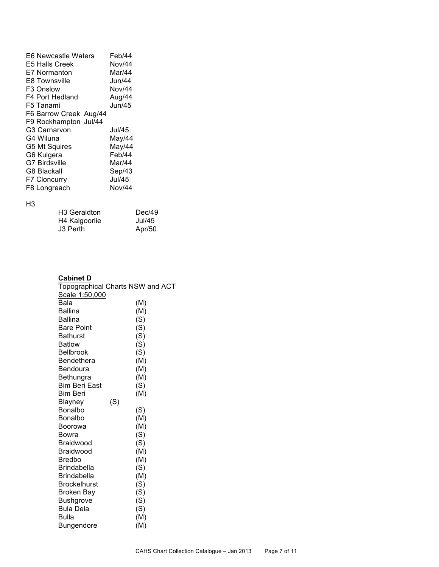| <b>E6 Newcastle Waters</b> | Feb/44 |
|----------------------------|--------|
| <b>E5 Halls Creek</b>      | Nov/44 |
| <b>E7 Normanton</b>        | Mar/44 |
| <b>E8 Townsville</b>       | Jun/44 |
| F <sub>3</sub> Onslow      | Nov/44 |
| F4 Port Hedland            | Aug/44 |
| F5 Tanami                  | Jun/45 |
| F6 Barrow Creek Aug/44     |        |
| F9 Rockhampton Jul/44      |        |
| G3 Carnarvon               | Jul/45 |
| G4 Wiluna                  | May/44 |
| G5 Mt Squires              | May/44 |
| G6 Kulgera                 | Feb/44 |
| <b>G7 Birdsville</b>       | Mar/44 |
| <b>G8 Blackall</b>         | Sep/43 |
| F7 Cloncurry               | Jul/45 |
| F8 Longreach               | Nov/44 |
|                            |        |

### H3

| H3 Geraldton  | Dec/49 |
|---------------|--------|
| H4 Kalgoorlie | Jul/45 |
| J3 Perth      | Apr/50 |

## **Cabinet D**

| oapniet D                            |                                         |
|--------------------------------------|-----------------------------------------|
|                                      | <b>Topographical Charts NSW and ACT</b> |
| Scale 1:50,000                       |                                         |
| Bala                                 | (M)                                     |
| <b>Ballina</b>                       | (M)                                     |
| <b>Ballina</b>                       | (S)                                     |
| <b>Bare Point</b>                    | (S)                                     |
| <b>Bathurst</b>                      | (S)                                     |
| <b>Batlow</b>                        | (S)                                     |
| <b>Bellbrook</b>                     | (S)                                     |
| Bendethera                           | (M)                                     |
| Bendoura                             | (M)                                     |
| Bethungra                            | (M)                                     |
| <b>Bim Beri East</b>                 | (S)                                     |
| <b>Bim Beri</b>                      | (M)                                     |
| <b>Blayney</b>                       | (S)                                     |
| Bonalbo                              | (S)                                     |
| Bonalbo                              | (M)                                     |
| Boorowa                              | (M)                                     |
| Bowra                                | (S)                                     |
| Braidwood                            | (S)                                     |
| Braidwood                            | (M)                                     |
| <b>Bredbo</b>                        | (M)                                     |
| <b>Brindabella</b>                   | (S)                                     |
| <b>Brindabella</b>                   | (M)                                     |
| <b>Brockelhurst</b>                  | (S)                                     |
| <b>Broken Bay</b>                    | (S)                                     |
| <b>Bushgrove</b><br><b>Bula Dela</b> | (S)                                     |
| <b>Bulla</b>                         | (S)                                     |
|                                      | (M)<br>(M)                              |
| Bungendore                           |                                         |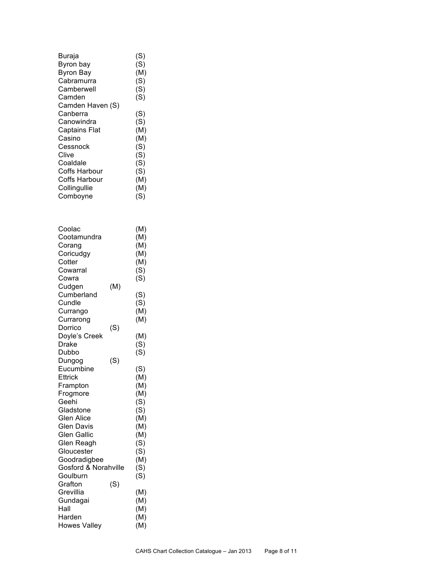| Buraja               | (S) |
|----------------------|-----|
| Byron bay            | (S) |
| <b>Byron Bay</b>     | (M) |
| Cabramurra           | (S) |
| Camberwell           | (S) |
| Camden               | (S) |
| Camden Haven (S)     |     |
| Canberra             | (S) |
| Canowindra           | (S) |
| <b>Captains Flat</b> | (M) |
| Casino               | (M) |
| Cessnock             | (S) |
| Clive                | (S) |
| Coaldale             | (S) |
| Coffs Harbour        | (S) |
| Coffs Harbour        | (M) |
| Collingullie         | (M) |
| Comboyne             | (S) |

| Coolac<br>Cootamundra<br>Corang<br>Coricudgy<br>Cotter<br>Cowarral<br>Cowra |     | (M)<br>(M)<br>(M)<br>(M)<br>(M)<br>(S)<br>(S) |
|-----------------------------------------------------------------------------|-----|-----------------------------------------------|
| Cudgen<br>Cumberland                                                        | (M) | (S)                                           |
| Cundle                                                                      |     | (S)                                           |
| Currango                                                                    |     | (M)                                           |
| Currarong                                                                   |     | (M)                                           |
| Dorrico                                                                     | (S) |                                               |
| Doyle's Creek                                                               |     | (M)                                           |
| Drake                                                                       |     | (S)                                           |
| Dubbo                                                                       |     | (S)                                           |
| Dungog                                                                      | (S) |                                               |
| Eucumbine                                                                   |     | (S)                                           |
| Ettrick                                                                     |     | (M)                                           |
| Frampton                                                                    |     | (M)                                           |
| Frogmore                                                                    |     | (M)                                           |
| Geehi                                                                       |     | (S)                                           |
| Gladstone                                                                   |     | (S)                                           |
| Glen Alice                                                                  |     | (M)                                           |
| <b>Glen Davis</b>                                                           |     | (M)                                           |
| <b>Glen Gallic</b><br>Glen Reagh                                            |     | (M)                                           |
| Gloucester                                                                  |     | (S)<br>(S)                                    |
| Goodradigbee                                                                |     | (M)                                           |
| Gosford & Norahville                                                        |     | (S)                                           |
| Goulburn                                                                    |     | (S)                                           |
| Grafton                                                                     | (S) |                                               |
| Grevillia                                                                   |     | (M)                                           |
| Gundagai                                                                    |     | (M)                                           |
| Hall                                                                        |     | (M)                                           |
| Harden                                                                      |     | (M)                                           |
| <b>Howes Valley</b>                                                         |     | (M)                                           |
|                                                                             |     |                                               |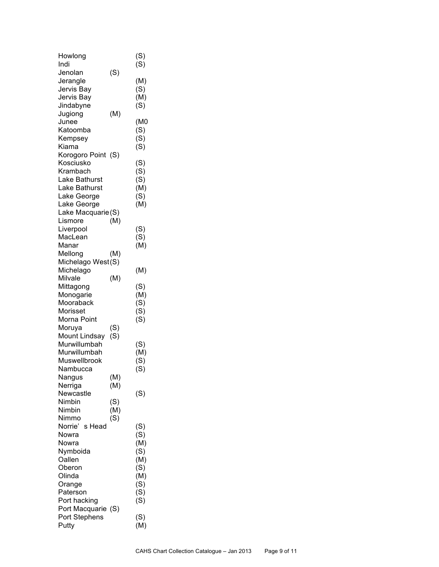| Howlong            |     | (S) |
|--------------------|-----|-----|
| Indi               |     | (S) |
| Jenolan            | (S) |     |
| Jerangle           |     | (M) |
| Jervis Bay         |     | (S) |
| Jervis Bay         |     | (M) |
| Jindabyne          |     | (S) |
| Jugiong            | (M) |     |
| Junee              |     | (M0 |
| Katoomba           |     | (S) |
| Kempsey            |     | (S) |
| Kiama              |     | (S) |
| Korogoro Point (S) |     |     |
| Kosciusko          |     | (S) |
| Krambach           |     | (S) |
| Lake Bathurst      |     | (S) |
| Lake Bathurst      |     | (M) |
| Lake George        |     | (S) |
| Lake George        |     | (M) |
| Lake Macquarie(S)  |     |     |
| Lismore            | (M) |     |
| Liverpool          |     | (S) |
| MacLean            |     | (S) |
| Manar              |     | (M) |
| Mellong            | (M) |     |
| Michelago West(S)  |     |     |
| Michelago          |     | (M) |
| Milvale            | (M) |     |
| Mittagong          |     | (S) |
| Monogarie          |     | (M) |
| Mooraback          |     | (S) |
| Morisset           |     | (S) |
| Morna Point        |     | (S) |
| Moruya             | (S) |     |
| Mount Lindsay      | (S) |     |
| Murwillumbah       |     | (S) |
| Murwillumbah       |     | (M) |
| Muswellbrook       |     | (S) |
| Nambucca           |     | (S) |
| Nangus             | (M) |     |
| Nerriga            | (M) |     |
| Newcastle          |     | (S) |
| Nimbin             | (S) |     |
| Nimbin             | (M) |     |
| Nimmo              | (S) |     |
| Norrie'<br>s Head  |     | (S) |
| Nowra              |     | (S) |
| Nowra              |     | (M) |
| Nymboida           |     | (S) |
| Oallen             |     | (M) |
| Oberon             |     | (S) |
| Olinda             |     | (M) |
| Orange             |     | (S) |
| Paterson           |     | (S) |
| Port hacking       |     | (S) |
| Port Macquarie (S) |     |     |
| Port Stephens      |     | (S) |
| Putty              |     | (M) |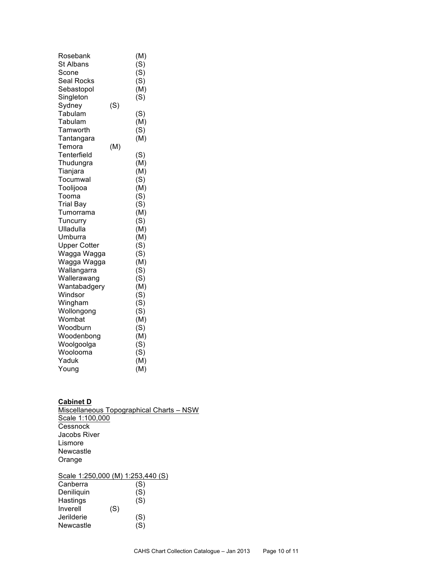| Rosebank            |     | (M) |
|---------------------|-----|-----|
| <b>St Albans</b>    |     | (S) |
| Scone               |     | (S) |
| <b>Seal Rocks</b>   |     | (S) |
| Sebastopol          |     | (M) |
| Singleton           |     | (S) |
| Sydney              | (S) |     |
| Tabulam             |     | (S) |
| Tabulam             |     | (M) |
| Tamworth            |     | (S) |
| Tantangara          |     | (M) |
| Temora              | (M) |     |
| Tenterfield         |     | (S) |
| Thudungra           |     | (M) |
| Tianjara            |     | (M) |
| Tocumwal            |     | (S) |
| Toolijooa           |     | (M) |
| Tooma               |     | (S) |
| <b>Trial Bay</b>    |     | (S) |
| Tumorrama           |     | (M) |
| Tuncurry            |     | (S) |
| Ulladulla           |     | (M) |
| Umburra             |     | (M) |
| <b>Upper Cotter</b> |     | (S) |
| Wagga Wagga         |     | (S) |
| Wagga Wagga         |     | (M) |
| Wallangarra         |     | (S) |
| Wallerawang         |     | (S) |
| Wantabadgery        |     | (M) |
| Windsor             |     | (S) |
| Wingham             |     | (S) |
| Wollongong          |     | (S) |
| Wombat              |     | (M) |
| Woodburn            |     | (S) |
| Woodenbong          |     | (M) |
| Woolgoolga          |     | (S) |
| Woolooma<br>Yaduk   |     | (S) |
|                     |     | (M) |
| Young               |     | (M) |

#### **Cabinet D**

Miscellaneous Topographical Charts – NSW Scale 1:100,000 **Cessnock** Jacobs River Lismore Newcastle Orange Scale 1:250,000 (M) 1:253,440 (S)

| <b>ULAIG I.LUU,UUU (IVI)</b> |     | ن∖ ∪ <del>רד</del> ,טט∠.ו |
|------------------------------|-----|---------------------------|
| Canberra                     |     | (S)                       |
| Deniliquin                   |     | (S)                       |
| Hastings                     |     | (S)                       |
| Inverell                     | (S) |                           |
| Jerilderie                   |     | (S)                       |
| <b>Newcastle</b>             |     | (S)                       |
|                              |     |                           |